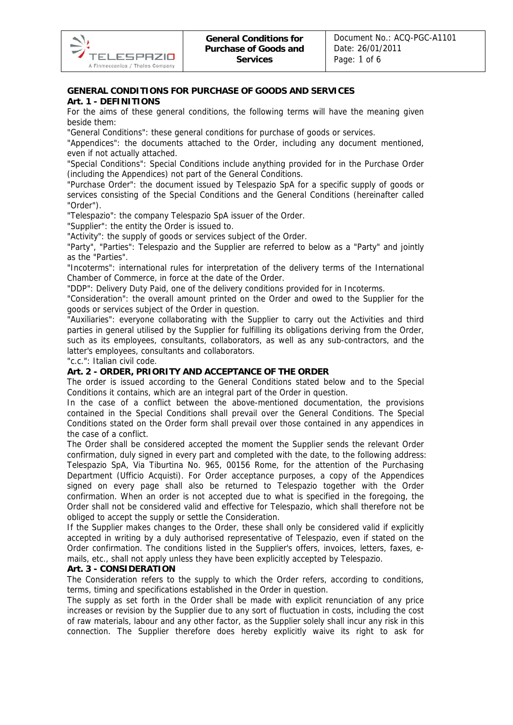# **GENERAL CONDITIONS FOR PURCHASE OF GOODS AND SERVICES**

## **Art. 1 - DEFINITIONS**

For the aims of these general conditions, the following terms will have the meaning given beside them:

"General Conditions": these general conditions for purchase of goods or services.

"Appendices": the documents attached to the Order, including any document mentioned, even if not actually attached.

"Special Conditions": Special Conditions include anything provided for in the Purchase Order (including the Appendices) not part of the General Conditions.

"Purchase Order": the document issued by Telespazio SpA for a specific supply of goods or services consisting of the Special Conditions and the General Conditions (hereinafter called "Order").

"Telespazio": the company Telespazio SpA issuer of the Order.

"Supplier": the entity the Order is issued to.

"Activity": the supply of goods or services subject of the Order.

"Party", "Parties": Telespazio and the Supplier are referred to below as a "Party" and jointly as the "Parties".

"Incoterms": international rules for interpretation of the delivery terms of the International Chamber of Commerce, in force at the date of the Order.

"DDP": Delivery Duty Paid, one of the delivery conditions provided for in Incoterms.

"Consideration": the overall amount printed on the Order and owed to the Supplier for the goods or services subject of the Order in question.

"Auxiliaries": everyone collaborating with the Supplier to carry out the Activities and third parties in general utilised by the Supplier for fulfilling its obligations deriving from the Order, such as its employees, consultants, collaborators, as well as any sub-contractors, and the latter's employees, consultants and collaborators.

"c.c.": Italian civil code.

### **Art. 2 - ORDER, PRIORITY AND ACCEPTANCE OF THE ORDER**

The order is issued according to the General Conditions stated below and to the Special Conditions it contains, which are an integral part of the Order in question.

In the case of a conflict between the above-mentioned documentation, the provisions contained in the Special Conditions shall prevail over the General Conditions. The Special Conditions stated on the Order form shall prevail over those contained in any appendices in the case of a conflict.

The Order shall be considered accepted the moment the Supplier sends the relevant Order confirmation, duly signed in every part and completed with the date, to the following address: Telespazio SpA, Via Tiburtina No. 965, 00156 Rome, for the attention of the Purchasing Department (Ufficio Acquisti). For Order acceptance purposes, a copy of the Appendices signed on every page shall also be returned to Telespazio together with the Order confirmation. When an order is not accepted due to what is specified in the foregoing, the Order shall not be considered valid and effective for Telespazio, which shall therefore not be obliged to accept the supply or settle the Consideration.

If the Supplier makes changes to the Order, these shall only be considered valid if explicitly accepted in writing by a duly authorised representative of Telespazio, even if stated on the Order confirmation. The conditions listed in the Supplier's offers, invoices, letters, faxes, emails, etc., shall not apply unless they have been explicitly accepted by Telespazio.

### **Art. 3 - CONSIDERATION**

The Consideration refers to the supply to which the Order refers, according to conditions, terms, timing and specifications established in the Order in question.

The supply as set forth in the Order shall be made with explicit renunciation of any price increases or revision by the Supplier due to any sort of fluctuation in costs, including the cost of raw materials, labour and any other factor, as the Supplier solely shall incur any risk in this connection. The Supplier therefore does hereby explicitly waive its right to ask for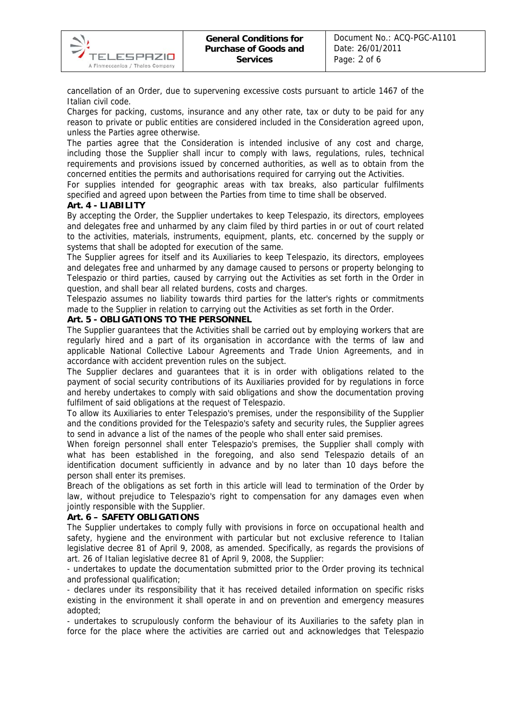cancellation of an Order, due to supervening excessive costs pursuant to article 1467 of the Italian civil code.

Charges for packing, customs, insurance and any other rate, tax or duty to be paid for any reason to private or public entities are considered included in the Consideration agreed upon, unless the Parties agree otherwise.

The parties agree that the Consideration is intended inclusive of any cost and charge, including those the Supplier shall incur to comply with laws, regulations, rules, technical requirements and provisions issued by concerned authorities, as well as to obtain from the concerned entities the permits and authorisations required for carrying out the Activities.

For supplies intended for geographic areas with tax breaks, also particular fulfilments specified and agreed upon between the Parties from time to time shall be observed.

#### **Art. 4 - LIABILITY**

TELESPRZIO A Finmeccanica / Thales Company

By accepting the Order, the Supplier undertakes to keep Telespazio, its directors, employees and delegates free and unharmed by any claim filed by third parties in or out of court related to the activities, materials, instruments, equipment, plants, etc. concerned by the supply or systems that shall be adopted for execution of the same.

The Supplier agrees for itself and its Auxiliaries to keep Telespazio, its directors, employees and delegates free and unharmed by any damage caused to persons or property belonging to Telespazio or third parties, caused by carrying out the Activities as set forth in the Order in question, and shall bear all related burdens, costs and charges.

Telespazio assumes no liability towards third parties for the latter's rights or commitments made to the Supplier in relation to carrying out the Activities as set forth in the Order.

#### **Art. 5 - OBLIGATIONS TO THE PERSONNEL**

The Supplier guarantees that the Activities shall be carried out by employing workers that are regularly hired and a part of its organisation in accordance with the terms of law and applicable National Collective Labour Agreements and Trade Union Agreements, and in accordance with accident prevention rules on the subject.

The Supplier declares and guarantees that it is in order with obligations related to the payment of social security contributions of its Auxiliaries provided for by regulations in force and hereby undertakes to comply with said obligations and show the documentation proving fulfilment of said obligations at the request of Telespazio.

To allow its Auxiliaries to enter Telespazio's premises, under the responsibility of the Supplier and the conditions provided for the Telespazio's safety and security rules, the Supplier agrees to send in advance a list of the names of the people who shall enter said premises.

When foreign personnel shall enter Telespazio's premises, the Supplier shall comply with what has been established in the foregoing, and also send Telespazio details of an identification document sufficiently in advance and by no later than 10 days before the person shall enter its premises.

Breach of the obligations as set forth in this article will lead to termination of the Order by law, without prejudice to Telespazio's right to compensation for any damages even when jointly responsible with the Supplier.

#### **Art. 6 – SAFETY OBLIGATIONS**

The Supplier undertakes to comply fully with provisions in force on occupational health and safety, hygiene and the environment with particular but not exclusive reference to Italian legislative decree 81 of April 9, 2008, as amended. Specifically, as regards the provisions of art. 26 of Italian legislative decree 81 of April 9, 2008, the Supplier:

- undertakes to update the documentation submitted prior to the Order proving its technical and professional qualification;

- declares under its responsibility that it has received detailed information on specific risks existing in the environment it shall operate in and on prevention and emergency measures adopted;

- undertakes to scrupulously conform the behaviour of its Auxiliaries to the safety plan in force for the place where the activities are carried out and acknowledges that Telespazio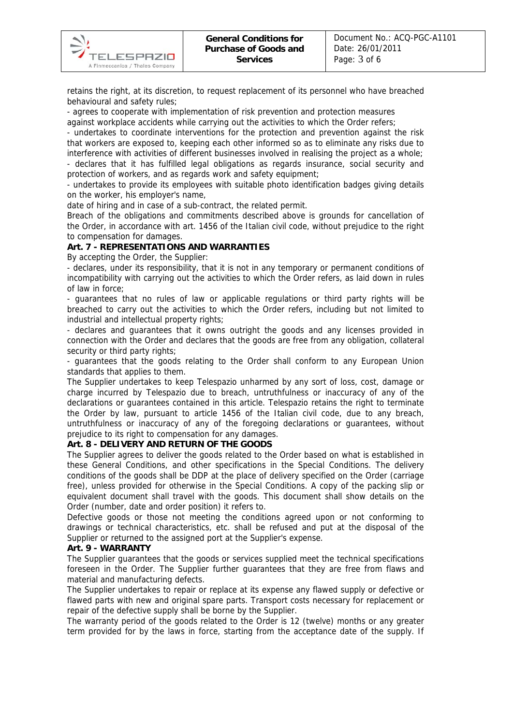retains the right, at its discretion, to request replacement of its personnel who have breached behavioural and safety rules;

- agrees to cooperate with implementation of risk prevention and protection measures

against workplace accidents while carrying out the activities to which the Order refers;

- undertakes to coordinate interventions for the protection and prevention against the risk that workers are exposed to, keeping each other informed so as to eliminate any risks due to interference with activities of different businesses involved in realising the project as a whole; - declares that it has fulfilled legal obligations as regards insurance, social security and protection of workers, and as regards work and safety equipment;

- undertakes to provide its employees with suitable photo identification badges giving details on the worker, his employer's name,

date of hiring and in case of a sub-contract, the related permit.

Breach of the obligations and commitments described above is grounds for cancellation of the Order, in accordance with art. 1456 of the Italian civil code, without prejudice to the right to compensation for damages.

# **Art. 7 - REPRESENTATIONS AND WARRANTIES**

By accepting the Order, the Supplier:

TELESPRZIO A Finmeccanica / Thales Company

- declares, under its responsibility, that it is not in any temporary or permanent conditions of incompatibility with carrying out the activities to which the Order refers, as laid down in rules of law in force;

- guarantees that no rules of law or applicable regulations or third party rights will be breached to carry out the activities to which the Order refers, including but not limited to industrial and intellectual property rights;

- declares and guarantees that it owns outright the goods and any licenses provided in connection with the Order and declares that the goods are free from any obligation, collateral security or third party rights;

- guarantees that the goods relating to the Order shall conform to any European Union standards that applies to them.

The Supplier undertakes to keep Telespazio unharmed by any sort of loss, cost, damage or charge incurred by Telespazio due to breach, untruthfulness or inaccuracy of any of the declarations or guarantees contained in this article. Telespazio retains the right to terminate the Order by law, pursuant to article 1456 of the Italian civil code, due to any breach, untruthfulness or inaccuracy of any of the foregoing declarations or guarantees, without prejudice to its right to compensation for any damages.

### **Art. 8 - DELIVERY AND RETURN OF THE GOODS**

The Supplier agrees to deliver the goods related to the Order based on what is established in these General Conditions, and other specifications in the Special Conditions. The delivery conditions of the goods shall be DDP at the place of delivery specified on the Order (carriage free), unless provided for otherwise in the Special Conditions. A copy of the packing slip or equivalent document shall travel with the goods. This document shall show details on the Order (number, date and order position) it refers to.

Defective goods or those not meeting the conditions agreed upon or not conforming to drawings or technical characteristics, etc. shall be refused and put at the disposal of the Supplier or returned to the assigned port at the Supplier's expense.

#### **Art. 9 - WARRANTY**

The Supplier guarantees that the goods or services supplied meet the technical specifications foreseen in the Order. The Supplier further guarantees that they are free from flaws and material and manufacturing defects.

The Supplier undertakes to repair or replace at its expense any flawed supply or defective or flawed parts with new and original spare parts. Transport costs necessary for replacement or repair of the defective supply shall be borne by the Supplier.

The warranty period of the goods related to the Order is 12 (twelve) months or any greater term provided for by the laws in force, starting from the acceptance date of the supply. If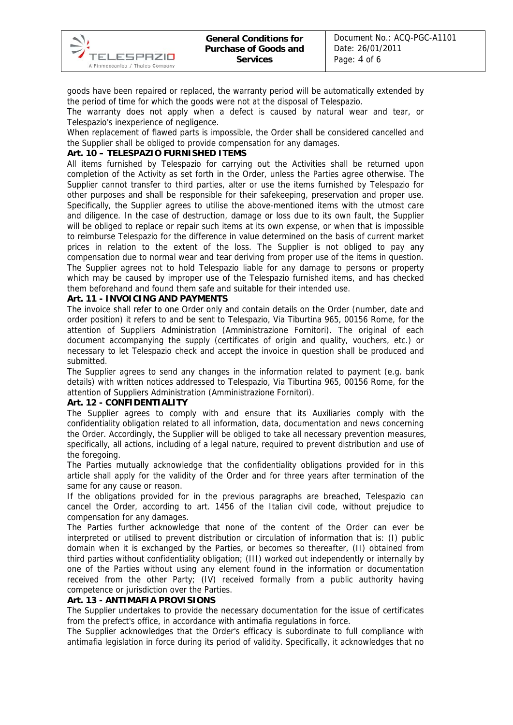goods have been repaired or replaced, the warranty period will be automatically extended by the period of time for which the goods were not at the disposal of Telespazio.

The warranty does not apply when a defect is caused by natural wear and tear, or Telespazio's inexperience of negligence.

When replacement of flawed parts is impossible, the Order shall be considered cancelled and the Supplier shall be obliged to provide compensation for any damages.

### **Art. 10 – TELESPAZIO FURNISHED ITEMS**

All items furnished by Telespazio for carrying out the Activities shall be returned upon completion of the Activity as set forth in the Order, unless the Parties agree otherwise. The Supplier cannot transfer to third parties, alter or use the items furnished by Telespazio for other purposes and shall be responsible for their safekeeping, preservation and proper use. Specifically, the Supplier agrees to utilise the above-mentioned items with the utmost care and diligence. In the case of destruction, damage or loss due to its own fault, the Supplier will be obliged to replace or repair such items at its own expense, or when that is impossible to reimburse Telespazio for the difference in value determined on the basis of current market prices in relation to the extent of the loss. The Supplier is not obliged to pay any compensation due to normal wear and tear deriving from proper use of the items in question. The Supplier agrees not to hold Telespazio liable for any damage to persons or property which may be caused by improper use of the Telespazio furnished items, and has checked them beforehand and found them safe and suitable for their intended use.

### **Art. 11 - INVOICING AND PAYMENTS**

The invoice shall refer to one Order only and contain details on the Order (number, date and order position) it refers to and be sent to Telespazio, Via Tiburtina 965, 00156 Rome, for the attention of Suppliers Administration (Amministrazione Fornitori). The original of each document accompanying the supply (certificates of origin and quality, vouchers, etc.) or necessary to let Telespazio check and accept the invoice in question shall be produced and submitted.

The Supplier agrees to send any changes in the information related to payment (e.g. bank details) with written notices addressed to Telespazio, Via Tiburtina 965, 00156 Rome, for the attention of Suppliers Administration (Amministrazione Fornitori).

### **Art. 12 - CONFIDENTIALITY**

The Supplier agrees to comply with and ensure that its Auxiliaries comply with the confidentiality obligation related to all information, data, documentation and news concerning the Order. Accordingly, the Supplier will be obliged to take all necessary prevention measures, specifically, all actions, including of a legal nature, required to prevent distribution and use of the foregoing.

The Parties mutually acknowledge that the confidentiality obligations provided for in this article shall apply for the validity of the Order and for three years after termination of the same for any cause or reason.

If the obligations provided for in the previous paragraphs are breached, Telespazio can cancel the Order, according to art. 1456 of the Italian civil code, without prejudice to compensation for any damages.

The Parties further acknowledge that none of the content of the Order can ever be interpreted or utilised to prevent distribution or circulation of information that is: (I) public domain when it is exchanged by the Parties, or becomes so thereafter, (II) obtained from third parties without confidentiality obligation; (III) worked out independently or internally by one of the Parties without using any element found in the information or documentation received from the other Party; (IV) received formally from a public authority having competence or jurisdiction over the Parties.

#### **Art. 13 - ANTIMAFIA PROVISIONS**

The Supplier undertakes to provide the necessary documentation for the issue of certificates from the prefect's office, in accordance with antimafia regulations in force.

The Supplier acknowledges that the Order's efficacy is subordinate to full compliance with antimafia legislation in force during its period of validity. Specifically, it acknowledges that no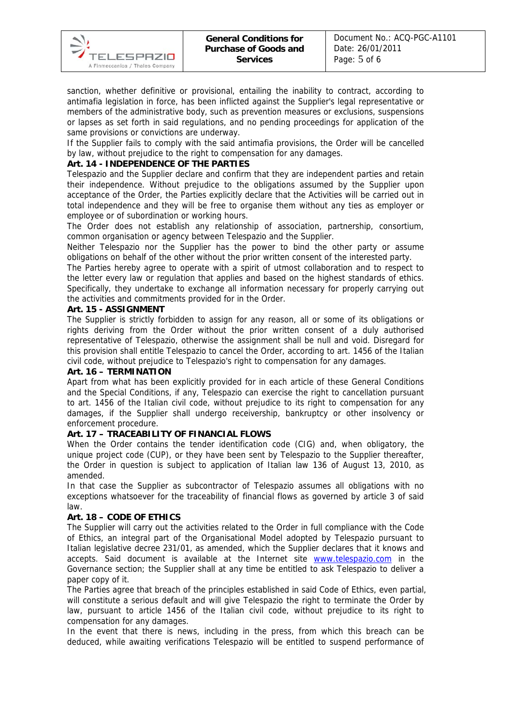sanction, whether definitive or provisional, entailing the inability to contract, according to antimafia legislation in force, has been inflicted against the Supplier's legal representative or members of the administrative body, such as prevention measures or exclusions, suspensions or lapses as set forth in said regulations, and no pending proceedings for application of the same provisions or convictions are underway.

If the Supplier fails to comply with the said antimafia provisions, the Order will be cancelled by law, without prejudice to the right to compensation for any damages.

## **Art. 14 - INDEPENDENCE OF THE PARTIES**

Telespazio and the Supplier declare and confirm that they are independent parties and retain their independence. Without prejudice to the obligations assumed by the Supplier upon acceptance of the Order, the Parties explicitly declare that the Activities will be carried out in total independence and they will be free to organise them without any ties as employer or employee or of subordination or working hours.

The Order does not establish any relationship of association, partnership, consortium, common organisation or agency between Telespazio and the Supplier.

Neither Telespazio nor the Supplier has the power to bind the other party or assume obligations on behalf of the other without the prior written consent of the interested party.

The Parties hereby agree to operate with a spirit of utmost collaboration and to respect to the letter every law or regulation that applies and based on the highest standards of ethics. Specifically, they undertake to exchange all information necessary for properly carrying out the activities and commitments provided for in the Order.

### **Art. 15 - ASSIGNMENT**

The Supplier is strictly forbidden to assign for any reason, all or some of its obligations or rights deriving from the Order without the prior written consent of a duly authorised representative of Telespazio, otherwise the assignment shall be null and void. Disregard for this provision shall entitle Telespazio to cancel the Order, according to art. 1456 of the Italian civil code, without prejudice to Telespazio's right to compensation for any damages.

### **Art. 16 – TERMINATION**

Apart from what has been explicitly provided for in each article of these General Conditions and the Special Conditions, if any, Telespazio can exercise the right to cancellation pursuant to art. 1456 of the Italian civil code, without prejudice to its right to compensation for any damages, if the Supplier shall undergo receivership, bankruptcy or other insolvency or enforcement procedure.

### **Art. 17 – TRACEABILITY OF FINANCIAL FLOWS**

When the Order contains the tender identification code (CIG) and, when obligatory, the unique project code (CUP), or they have been sent by Telespazio to the Supplier thereafter, the Order in question is subject to application of Italian law 136 of August 13, 2010, as amended.

In that case the Supplier as subcontractor of Telespazio assumes all obligations with no exceptions whatsoever for the traceability of financial flows as governed by article 3 of said law.

### **Art. 18 – CODE OF ETHICS**

The Supplier will carry out the activities related to the Order in full compliance with the Code of Ethics, an integral part of the Organisational Model adopted by Telespazio pursuant to Italian legislative decree 231/01, as amended, which the Supplier declares that it knows and accepts. Said document is available at the Internet site www.telespazio.com in the Governance section; the Supplier shall at any time be entitled to ask Telespazio to deliver a paper copy of it.

The Parties agree that breach of the principles established in said Code of Ethics, even partial, will constitute a serious default and will give Telespazio the right to terminate the Order by law, pursuant to article 1456 of the Italian civil code, without prejudice to its right to compensation for any damages.

In the event that there is news, including in the press, from which this breach can be deduced, while awaiting verifications Telespazio will be entitled to suspend performance of